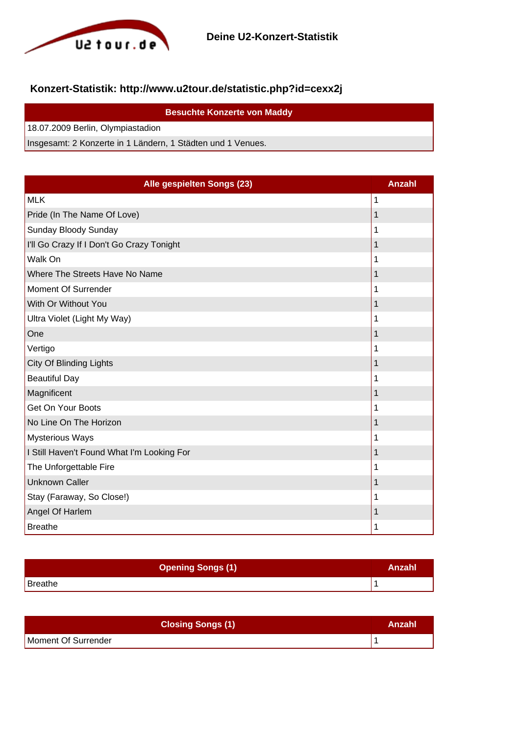

## **Konzert-Statistik: http://www.u2tour.de/statistic.php?id=cexx2j**

| <b>Besuchte Konzerte von Maddy</b>                          |
|-------------------------------------------------------------|
| 18.07.2009 Berlin, Olympiastadion                           |
| Insgesamt: 2 Konzerte in 1 Ländern, 1 Städten und 1 Venues. |

| Alle gespielten Songs (23)                 | <b>Anzahl</b> |
|--------------------------------------------|---------------|
| <b>MLK</b>                                 | 1             |
| Pride (In The Name Of Love)                | 1             |
| Sunday Bloody Sunday                       | 1             |
| I'll Go Crazy If I Don't Go Crazy Tonight  | 1             |
| Walk On                                    | 1             |
| Where The Streets Have No Name             | 1             |
| Moment Of Surrender                        | 1             |
| With Or Without You                        | 1             |
| Ultra Violet (Light My Way)                | 1             |
| One                                        | 1             |
| Vertigo                                    | 1             |
| <b>City Of Blinding Lights</b>             | 1             |
| <b>Beautiful Day</b>                       | 1             |
| Magnificent                                | 1             |
| Get On Your Boots                          | 1             |
| No Line On The Horizon                     | 1             |
| <b>Mysterious Ways</b>                     | 1             |
| I Still Haven't Found What I'm Looking For | 1             |
| The Unforgettable Fire                     | 1             |
| <b>Unknown Caller</b>                      | 1             |
| Stay (Faraway, So Close!)                  | 1             |
| Angel Of Harlem                            | 1             |
| <b>Breathe</b>                             | 1             |

| <b>Opening Songs (1)</b> | Anzahl |
|--------------------------|--------|
| Breathe                  |        |

| <b>Closing Songs (1)</b> | Anzahl |
|--------------------------|--------|
| Moment Of Surrender      |        |